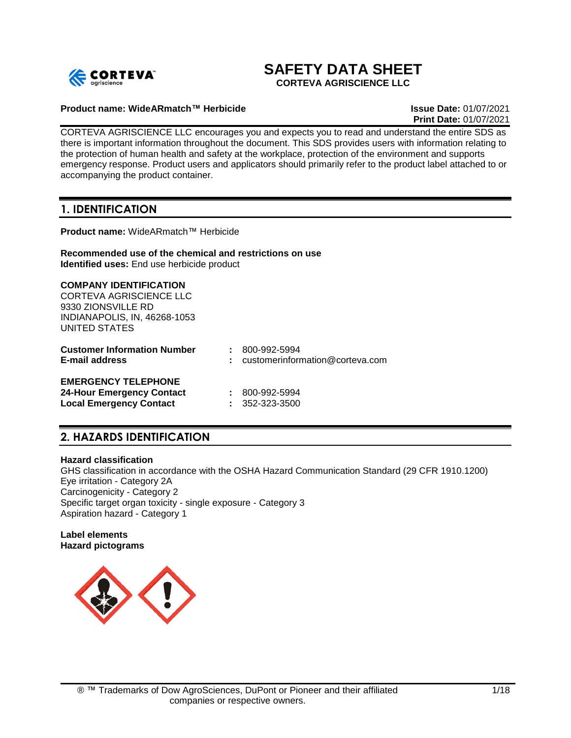

# **SAFETY DATA SHEET**

**CORTEVA AGRISCIENCE LLC**

### **Product name: WideARmatch™ Herbicide Issue Date:** 01/07/2021

**Print Date:** 01/07/2021

CORTEVA AGRISCIENCE LLC encourages you and expects you to read and understand the entire SDS as there is important information throughout the document. This SDS provides users with information relating to the protection of human health and safety at the workplace, protection of the environment and supports emergency response. Product users and applicators should primarily refer to the product label attached to or accompanying the product container.

## **1. IDENTIFICATION**

**Product name:** WideARmatch™ Herbicide

#### **Recommended use of the chemical and restrictions on use Identified uses:** End use herbicide product

### **COMPANY IDENTIFICATION**

CORTEVA AGRISCIENCE LLC 9330 ZIONSVILLE RD INDIANAPOLIS, IN, 46268-1053 UNITED STATES

| <b>Customer Information Number</b><br><b>E-mail address</b> | $: 800 - 992 - 5994$<br>$:$ customerinformation@corteva.com |
|-------------------------------------------------------------|-------------------------------------------------------------|
| <b>EMERGENCY TELEPHONE</b>                                  |                                                             |
| <b>24-Hour Emergency Contact</b>                            | $: 800 - 992 - 5994$                                        |
| <b>Local Emergency Contact</b>                              | $: 352 - 323 - 3500$                                        |

## **2. HAZARDS IDENTIFICATION**

### **Hazard classification**

GHS classification in accordance with the OSHA Hazard Communication Standard (29 CFR 1910.1200) Eye irritation - Category 2A Carcinogenicity - Category 2 Specific target organ toxicity - single exposure - Category 3 Aspiration hazard - Category 1

**Label elements Hazard pictograms**

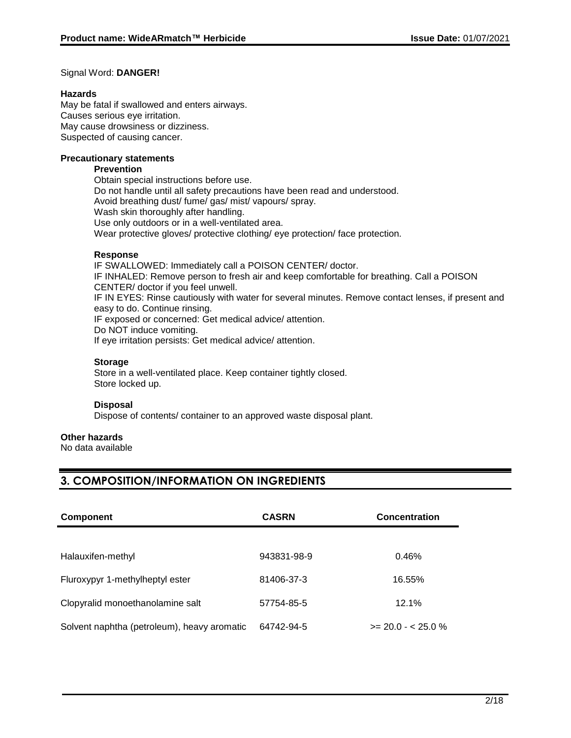### Signal Word: **DANGER!**

### **Hazards**

May be fatal if swallowed and enters airways. Causes serious eye irritation. May cause drowsiness or dizziness. Suspected of causing cancer.

### **Precautionary statements**

### **Prevention**

Obtain special instructions before use. Do not handle until all safety precautions have been read and understood. Avoid breathing dust/ fume/ gas/ mist/ vapours/ spray. Wash skin thoroughly after handling. Use only outdoors or in a well-ventilated area. Wear protective gloves/ protective clothing/ eye protection/ face protection.

### **Response**

IF SWALLOWED: Immediately call a POISON CENTER/ doctor. IF INHALED: Remove person to fresh air and keep comfortable for breathing. Call a POISON CENTER/ doctor if you feel unwell. IF IN EYES: Rinse cautiously with water for several minutes. Remove contact lenses, if present and easy to do. Continue rinsing. IF exposed or concerned: Get medical advice/ attention. Do NOT induce vomiting. If eye irritation persists: Get medical advice/ attention.

### **Storage**

Store in a well-ventilated place. Keep container tightly closed. Store locked up.

### **Disposal**

Dispose of contents/ container to an approved waste disposal plant.

### **Other hazards**

No data available

## **3. COMPOSITION/INFORMATION ON INGREDIENTS**

| <b>Component</b>                            | <b>CASRN</b> | <b>Concentration</b> |
|---------------------------------------------|--------------|----------------------|
|                                             |              |                      |
| Halauxifen-methyl                           | 943831-98-9  | 0.46%                |
| Fluroxypyr 1-methylheptyl ester             | 81406-37-3   | 16.55%               |
| Clopyralid monoethanolamine salt            | 57754-85-5   | 12.1%                |
| Solvent naphtha (petroleum), heavy aromatic | 64742-94-5   | $>= 20.0 - 25.0 %$   |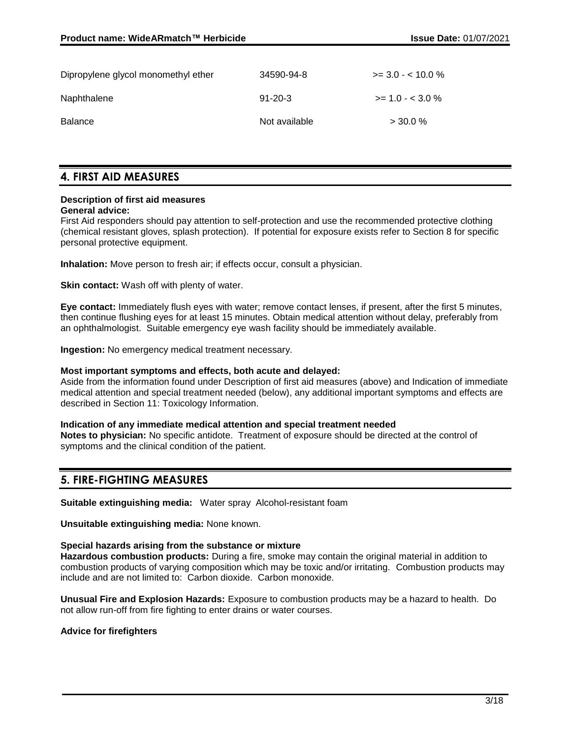| Dipropylene glycol monomethyl ether | 34590-94-8    | $\ge$ 3.0 - < 10.0 % |
|-------------------------------------|---------------|----------------------|
| Naphthalene                         | $91 - 20 - 3$ | $>= 1.0 - 3.0 \%$    |
| Balance                             | Not available | $>$ 30.0 %           |

### **4. FIRST AID MEASURES**

### **Description of first aid measures**

#### **General advice:**

First Aid responders should pay attention to self-protection and use the recommended protective clothing (chemical resistant gloves, splash protection). If potential for exposure exists refer to Section 8 for specific personal protective equipment.

**Inhalation:** Move person to fresh air; if effects occur, consult a physician.

**Skin contact:** Wash off with plenty of water.

**Eye contact:** Immediately flush eyes with water; remove contact lenses, if present, after the first 5 minutes, then continue flushing eyes for at least 15 minutes. Obtain medical attention without delay, preferably from an ophthalmologist. Suitable emergency eye wash facility should be immediately available.

**Ingestion:** No emergency medical treatment necessary.

#### **Most important symptoms and effects, both acute and delayed:**

Aside from the information found under Description of first aid measures (above) and Indication of immediate medical attention and special treatment needed (below), any additional important symptoms and effects are described in Section 11: Toxicology Information.

#### **Indication of any immediate medical attention and special treatment needed**

**Notes to physician:** No specific antidote. Treatment of exposure should be directed at the control of symptoms and the clinical condition of the patient.

### **5. FIRE-FIGHTING MEASURES**

**Suitable extinguishing media:** Water spray Alcohol-resistant foam

**Unsuitable extinguishing media:** None known.

### **Special hazards arising from the substance or mixture**

**Hazardous combustion products:** During a fire, smoke may contain the original material in addition to combustion products of varying composition which may be toxic and/or irritating. Combustion products may include and are not limited to: Carbon dioxide. Carbon monoxide.

**Unusual Fire and Explosion Hazards:** Exposure to combustion products may be a hazard to health. Do not allow run-off from fire fighting to enter drains or water courses.

**Advice for firefighters**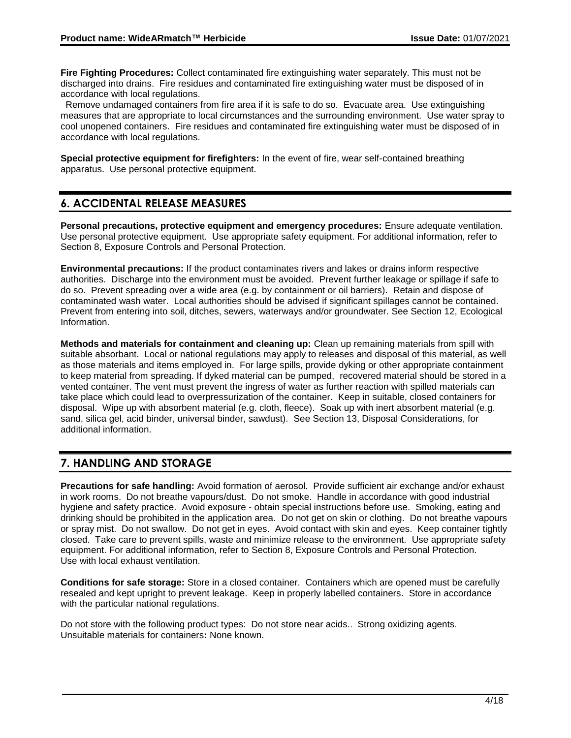**Fire Fighting Procedures:** Collect contaminated fire extinguishing water separately. This must not be discharged into drains. Fire residues and contaminated fire extinguishing water must be disposed of in accordance with local regulations.

 Remove undamaged containers from fire area if it is safe to do so. Evacuate area. Use extinguishing measures that are appropriate to local circumstances and the surrounding environment. Use water spray to cool unopened containers. Fire residues and contaminated fire extinguishing water must be disposed of in accordance with local regulations.

**Special protective equipment for firefighters:** In the event of fire, wear self-contained breathing apparatus. Use personal protective equipment.

## **6. ACCIDENTAL RELEASE MEASURES**

**Personal precautions, protective equipment and emergency procedures:** Ensure adequate ventilation. Use personal protective equipment. Use appropriate safety equipment. For additional information, refer to Section 8, Exposure Controls and Personal Protection.

**Environmental precautions:** If the product contaminates rivers and lakes or drains inform respective authorities. Discharge into the environment must be avoided. Prevent further leakage or spillage if safe to do so. Prevent spreading over a wide area (e.g. by containment or oil barriers). Retain and dispose of contaminated wash water. Local authorities should be advised if significant spillages cannot be contained. Prevent from entering into soil, ditches, sewers, waterways and/or groundwater. See Section 12, Ecological Information.

**Methods and materials for containment and cleaning up:** Clean up remaining materials from spill with suitable absorbant. Local or national regulations may apply to releases and disposal of this material, as well as those materials and items employed in. For large spills, provide dyking or other appropriate containment to keep material from spreading. If dyked material can be pumped, recovered material should be stored in a vented container. The vent must prevent the ingress of water as further reaction with spilled materials can take place which could lead to overpressurization of the container. Keep in suitable, closed containers for disposal. Wipe up with absorbent material (e.g. cloth, fleece). Soak up with inert absorbent material (e.g. sand, silica gel, acid binder, universal binder, sawdust). See Section 13, Disposal Considerations, for additional information.

## **7. HANDLING AND STORAGE**

**Precautions for safe handling:** Avoid formation of aerosol. Provide sufficient air exchange and/or exhaust in work rooms. Do not breathe vapours/dust. Do not smoke. Handle in accordance with good industrial hygiene and safety practice. Avoid exposure - obtain special instructions before use. Smoking, eating and drinking should be prohibited in the application area. Do not get on skin or clothing. Do not breathe vapours or spray mist. Do not swallow. Do not get in eyes. Avoid contact with skin and eyes. Keep container tightly closed. Take care to prevent spills, waste and minimize release to the environment. Use appropriate safety equipment. For additional information, refer to Section 8, Exposure Controls and Personal Protection. Use with local exhaust ventilation.

**Conditions for safe storage:** Store in a closed container. Containers which are opened must be carefully resealed and kept upright to prevent leakage. Keep in properly labelled containers. Store in accordance with the particular national regulations.

Do not store with the following product types: Do not store near acids.. Strong oxidizing agents. Unsuitable materials for containers**:** None known.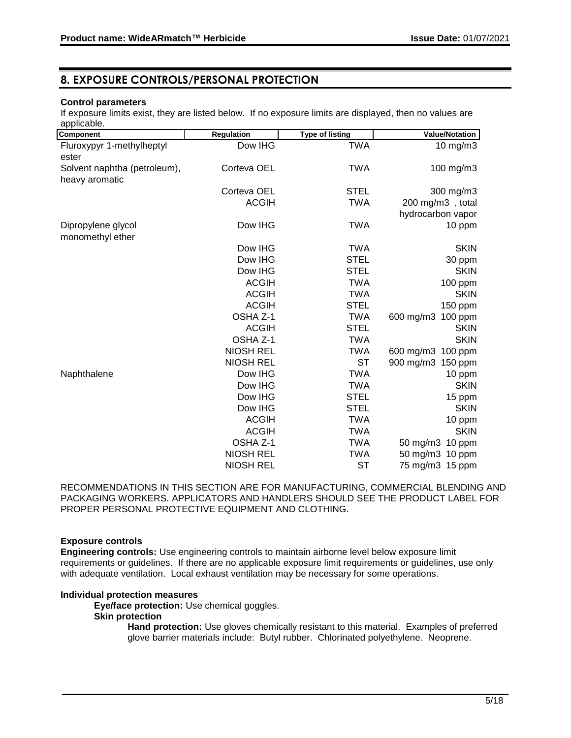## **8. EXPOSURE CONTROLS/PERSONAL PROTECTION**

### **Control parameters**

If exposure limits exist, they are listed below. If no exposure limits are displayed, then no values are applicable.

| Component                                      | <b>Regulation</b> | <b>Type of listing</b> | <b>Value/Notation</b>         |
|------------------------------------------------|-------------------|------------------------|-------------------------------|
| Fluroxypyr 1-methylheptyl<br>ester             | Dow IHG           | TWA                    | $10 \text{ mg/m}$ 3           |
| Solvent naphtha (petroleum),<br>heavy aromatic | Corteva OEL       | <b>TWA</b>             | 100 mg/m3                     |
|                                                | Corteva OEL       | <b>STEL</b>            | 300 mg/m3                     |
|                                                | <b>ACGIH</b>      | <b>TWA</b>             | 200 mg/m3, total              |
|                                                |                   |                        | hydrocarbon vapor             |
| Dipropylene glycol<br>monomethyl ether         | Dow IHG           | <b>TWA</b>             | 10 ppm                        |
|                                                | Dow IHG           | <b>TWA</b>             | <b>SKIN</b>                   |
|                                                | Dow IHG           | <b>STEL</b>            | 30 ppm                        |
|                                                | Dow IHG           | <b>STEL</b>            | <b>SKIN</b>                   |
|                                                | <b>ACGIH</b>      | <b>TWA</b>             | 100 ppm                       |
|                                                | <b>ACGIH</b>      | <b>TWA</b>             | <b>SKIN</b>                   |
|                                                | <b>ACGIH</b>      | STEL                   | 150 ppm                       |
|                                                | OSHA Z-1          | <b>TWA</b>             | 600 mg/m3<br>100 ppm          |
|                                                | <b>ACGIH</b>      | <b>STEL</b>            | <b>SKIN</b>                   |
|                                                | OSHA Z-1          | <b>TWA</b>             | <b>SKIN</b>                   |
|                                                | <b>NIOSH REL</b>  | TWA                    | 600 mg/m3<br>100 ppm          |
|                                                | <b>NIOSH REL</b>  | <b>ST</b>              | 900 mg/m3 150 ppm             |
| Naphthalene                                    | Dow IHG           | <b>TWA</b>             | 10 ppm                        |
|                                                | Dow IHG           | <b>TWA</b>             | <b>SKIN</b>                   |
|                                                | Dow IHG           | <b>STEL</b>            | 15 ppm                        |
|                                                | Dow IHG           | <b>STEL</b>            | <b>SKIN</b>                   |
|                                                | <b>ACGIH</b>      | <b>TWA</b>             | 10 ppm                        |
|                                                | <b>ACGIH</b>      | <b>TWA</b>             | <b>SKIN</b>                   |
|                                                | OSHA Z-1          | <b>TWA</b>             | 50 mg/m3<br>10 ppm            |
|                                                | <b>NIOSH REL</b>  | <b>TWA</b>             | $50 \text{ mg/m}$ 3<br>10 ppm |
|                                                | <b>NIOSH REL</b>  | <b>ST</b>              | 75 mg/m3 15 ppm               |

RECOMMENDATIONS IN THIS SECTION ARE FOR MANUFACTURING, COMMERCIAL BLENDING AND PACKAGING WORKERS. APPLICATORS AND HANDLERS SHOULD SEE THE PRODUCT LABEL FOR PROPER PERSONAL PROTECTIVE EQUIPMENT AND CLOTHING.

### **Exposure controls**

**Engineering controls:** Use engineering controls to maintain airborne level below exposure limit requirements or guidelines. If there are no applicable exposure limit requirements or guidelines, use only with adequate ventilation. Local exhaust ventilation may be necessary for some operations.

### **Individual protection measures**

**Eye/face protection:** Use chemical goggles.

### **Skin protection**

**Hand protection:** Use gloves chemically resistant to this material. Examples of preferred glove barrier materials include: Butyl rubber. Chlorinated polyethylene. Neoprene.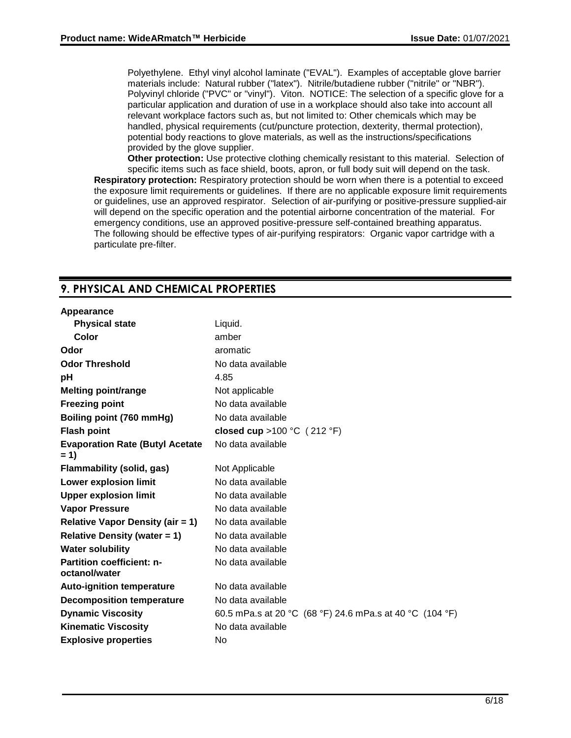Polyethylene. Ethyl vinyl alcohol laminate ("EVAL"). Examples of acceptable glove barrier materials include: Natural rubber ("latex"). Nitrile/butadiene rubber ("nitrile" or "NBR"). Polyvinyl chloride ("PVC" or "vinyl"). Viton. NOTICE: The selection of a specific glove for a particular application and duration of use in a workplace should also take into account all relevant workplace factors such as, but not limited to: Other chemicals which may be handled, physical requirements (cut/puncture protection, dexterity, thermal protection), potential body reactions to glove materials, as well as the instructions/specifications provided by the glove supplier.

**Other protection:** Use protective clothing chemically resistant to this material. Selection of specific items such as face shield, boots, apron, or full body suit will depend on the task. **Respiratory protection:** Respiratory protection should be worn when there is a potential to exceed the exposure limit requirements or guidelines. If there are no applicable exposure limit requirements or guidelines, use an approved respirator. Selection of air-purifying or positive-pressure supplied-air will depend on the specific operation and the potential airborne concentration of the material. For emergency conditions, use an approved positive-pressure self-contained breathing apparatus. The following should be effective types of air-purifying respirators: Organic vapor cartridge with a particulate pre-filter.

## **9. PHYSICAL AND CHEMICAL PROPERTIES**

#### **Appearance**

| <b>Physical state</b>                             | Liquid.                                                  |
|---------------------------------------------------|----------------------------------------------------------|
| Color                                             | amber                                                    |
| Odor                                              | aromatic                                                 |
| <b>Odor Threshold</b>                             | No data available                                        |
| pH                                                | 4.85                                                     |
| <b>Melting point/range</b>                        | Not applicable                                           |
| <b>Freezing point</b>                             | No data available                                        |
| Boiling point (760 mmHg)                          | No data available                                        |
| <b>Flash point</b>                                | closed cup > 100 °C $(212 \text{ }^{\circ}\text{F})$     |
| <b>Evaporation Rate (Butyl Acetate</b><br>$= 1$   | No data available                                        |
| Flammability (solid, gas)                         | Not Applicable                                           |
| <b>Lower explosion limit</b>                      | No data available                                        |
| <b>Upper explosion limit</b>                      | No data available                                        |
| <b>Vapor Pressure</b>                             | No data available                                        |
| <b>Relative Vapor Density (air = 1)</b>           | No data available                                        |
| <b>Relative Density (water = 1)</b>               | No data available                                        |
| <b>Water solubility</b>                           | No data available                                        |
| <b>Partition coefficient: n-</b><br>octanol/water | No data available                                        |
| <b>Auto-ignition temperature</b>                  | No data available                                        |
| <b>Decomposition temperature</b>                  | No data available                                        |
| <b>Dynamic Viscosity</b>                          | 60.5 mPa.s at 20 °C (68 °F) 24.6 mPa.s at 40 °C (104 °F) |
| <b>Kinematic Viscosity</b>                        | No data available                                        |
| <b>Explosive properties</b>                       | No                                                       |
|                                                   |                                                          |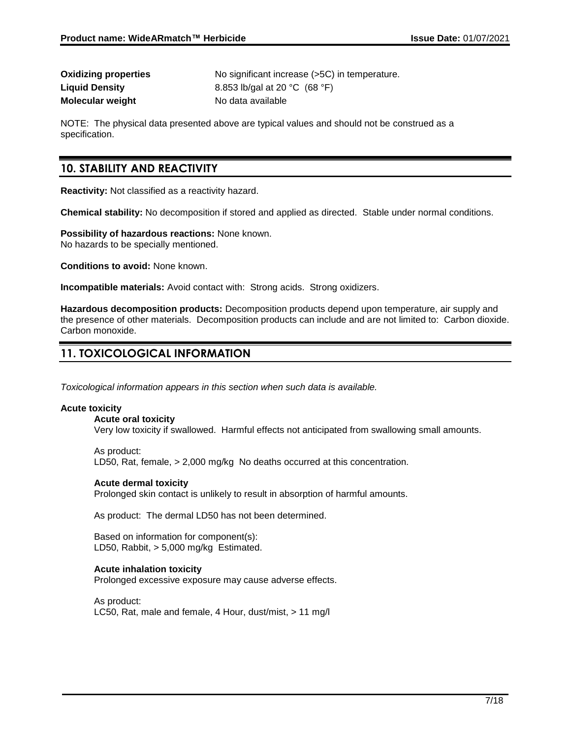| <b>Oxidizing properties</b> |
|-----------------------------|
| <b>Liquid Density</b>       |
| <b>Molecular weight</b>     |

No significant increase (>5C) in temperature. **Liquid Density** 8.853 lb/gal at 20 °C (68 °F) **No data available** 

NOTE: The physical data presented above are typical values and should not be construed as a specification.

## **10. STABILITY AND REACTIVITY**

**Reactivity:** Not classified as a reactivity hazard.

**Chemical stability:** No decomposition if stored and applied as directed. Stable under normal conditions.

**Possibility of hazardous reactions:** None known. No hazards to be specially mentioned.

**Conditions to avoid:** None known.

**Incompatible materials:** Avoid contact with: Strong acids. Strong oxidizers.

**Hazardous decomposition products:** Decomposition products depend upon temperature, air supply and the presence of other materials. Decomposition products can include and are not limited to: Carbon dioxide. Carbon monoxide.

## **11. TOXICOLOGICAL INFORMATION**

*Toxicological information appears in this section when such data is available.*

#### **Acute toxicity**

**Acute oral toxicity**

Very low toxicity if swallowed. Harmful effects not anticipated from swallowing small amounts.

As product: LD50, Rat, female, > 2,000 mg/kg No deaths occurred at this concentration.

#### **Acute dermal toxicity**

Prolonged skin contact is unlikely to result in absorption of harmful amounts.

As product: The dermal LD50 has not been determined.

Based on information for component(s): LD50, Rabbit, > 5,000 mg/kg Estimated.

### **Acute inhalation toxicity**

Prolonged excessive exposure may cause adverse effects.

As product: LC50, Rat, male and female, 4 Hour, dust/mist, > 11 mg/l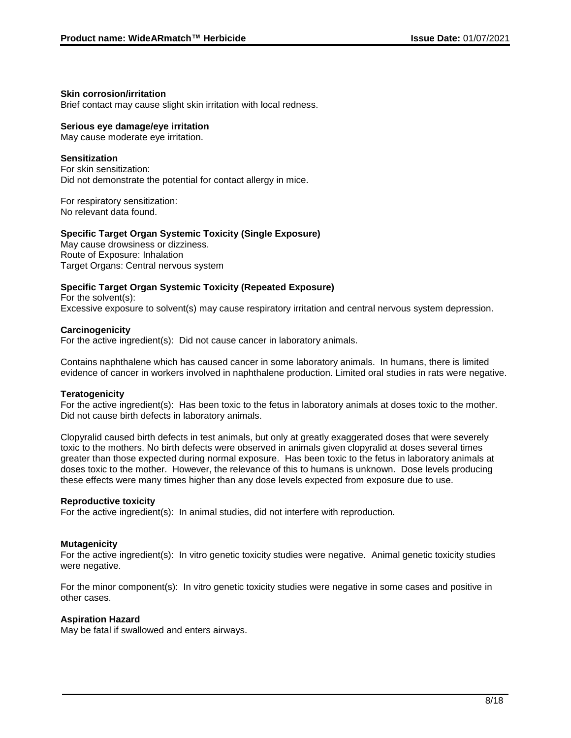### **Skin corrosion/irritation**

Brief contact may cause slight skin irritation with local redness.

### **Serious eye damage/eye irritation**

May cause moderate eye irritation.

### **Sensitization**

For skin sensitization: Did not demonstrate the potential for contact allergy in mice.

For respiratory sensitization: No relevant data found.

### **Specific Target Organ Systemic Toxicity (Single Exposure)**

May cause drowsiness or dizziness. Route of Exposure: Inhalation Target Organs: Central nervous system

### **Specific Target Organ Systemic Toxicity (Repeated Exposure)**

For the solvent(s): Excessive exposure to solvent(s) may cause respiratory irritation and central nervous system depression.

#### **Carcinogenicity**

For the active ingredient(s): Did not cause cancer in laboratory animals.

Contains naphthalene which has caused cancer in some laboratory animals. In humans, there is limited evidence of cancer in workers involved in naphthalene production. Limited oral studies in rats were negative.

### **Teratogenicity**

For the active ingredient(s): Has been toxic to the fetus in laboratory animals at doses toxic to the mother. Did not cause birth defects in laboratory animals.

Clopyralid caused birth defects in test animals, but only at greatly exaggerated doses that were severely toxic to the mothers. No birth defects were observed in animals given clopyralid at doses several times greater than those expected during normal exposure. Has been toxic to the fetus in laboratory animals at doses toxic to the mother. However, the relevance of this to humans is unknown. Dose levels producing these effects were many times higher than any dose levels expected from exposure due to use.

#### **Reproductive toxicity**

For the active ingredient(s): In animal studies, did not interfere with reproduction.

### **Mutagenicity**

For the active ingredient(s): In vitro genetic toxicity studies were negative. Animal genetic toxicity studies were negative.

For the minor component(s): In vitro genetic toxicity studies were negative in some cases and positive in other cases.

### **Aspiration Hazard**

May be fatal if swallowed and enters airways.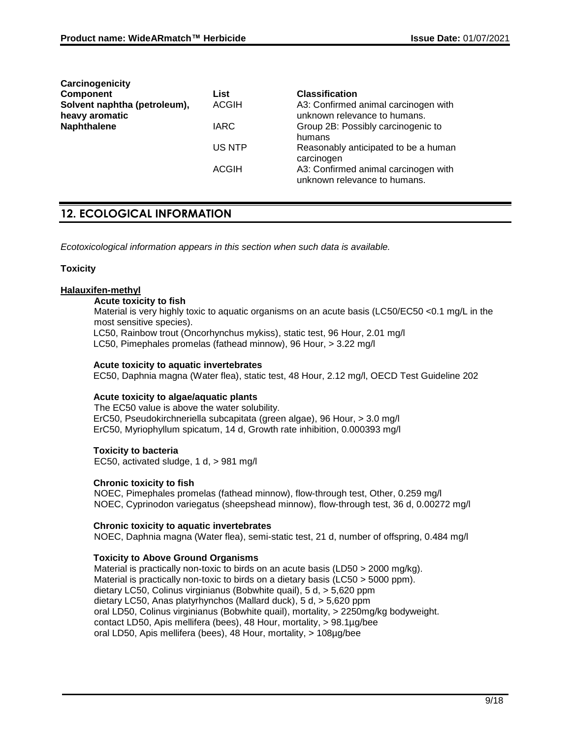| Carcinogenicity                                |              |                                                                      |
|------------------------------------------------|--------------|----------------------------------------------------------------------|
| <b>Component</b>                               | List         | <b>Classification</b>                                                |
| Solvent naphtha (petroleum),<br>heavy aromatic | <b>ACGIH</b> | A3: Confirmed animal carcinogen with<br>unknown relevance to humans. |
| <b>Naphthalene</b>                             | <b>IARC</b>  | Group 2B: Possibly carcinogenic to<br>humans                         |
|                                                | US NTP       | Reasonably anticipated to be a human<br>carcinogen                   |
|                                                | ACGIH        | A3: Confirmed animal carcinogen with<br>unknown relevance to humans. |

## **12. ECOLOGICAL INFORMATION**

*Ecotoxicological information appears in this section when such data is available.*

### **Toxicity**

### **Halauxifen-methyl**

### **Acute toxicity to fish**

Material is very highly toxic to aquatic organisms on an acute basis (LC50/EC50 < 0.1 mg/L in the most sensitive species).

LC50, Rainbow trout (Oncorhynchus mykiss), static test, 96 Hour, 2.01 mg/l

LC50, Pimephales promelas (fathead minnow), 96 Hour, > 3.22 mg/l

### **Acute toxicity to aquatic invertebrates**

EC50, Daphnia magna (Water flea), static test, 48 Hour, 2.12 mg/l, OECD Test Guideline 202

### **Acute toxicity to algae/aquatic plants**

The EC50 value is above the water solubility. ErC50, Pseudokirchneriella subcapitata (green algae), 96 Hour, > 3.0 mg/l ErC50, Myriophyllum spicatum, 14 d, Growth rate inhibition, 0.000393 mg/l

#### **Toxicity to bacteria**

EC50, activated sludge, 1 d, > 981 mg/l

### **Chronic toxicity to fish**

NOEC, Pimephales promelas (fathead minnow), flow-through test, Other, 0.259 mg/l NOEC, Cyprinodon variegatus (sheepshead minnow), flow-through test, 36 d, 0.00272 mg/l

### **Chronic toxicity to aquatic invertebrates**

NOEC, Daphnia magna (Water flea), semi-static test, 21 d, number of offspring, 0.484 mg/l

### **Toxicity to Above Ground Organisms**

Material is practically non-toxic to birds on an acute basis (LD50 > 2000 mg/kg). Material is practically non-toxic to birds on a dietary basis (LC50 > 5000 ppm). dietary LC50, Colinus virginianus (Bobwhite quail), 5 d, > 5,620 ppm dietary LC50, Anas platyrhynchos (Mallard duck), 5 d, > 5,620 ppm oral LD50, Colinus virginianus (Bobwhite quail), mortality, > 2250mg/kg bodyweight. contact LD50, Apis mellifera (bees), 48 Hour, mortality, > 98.1µg/bee oral LD50, Apis mellifera (bees), 48 Hour, mortality, > 108µg/bee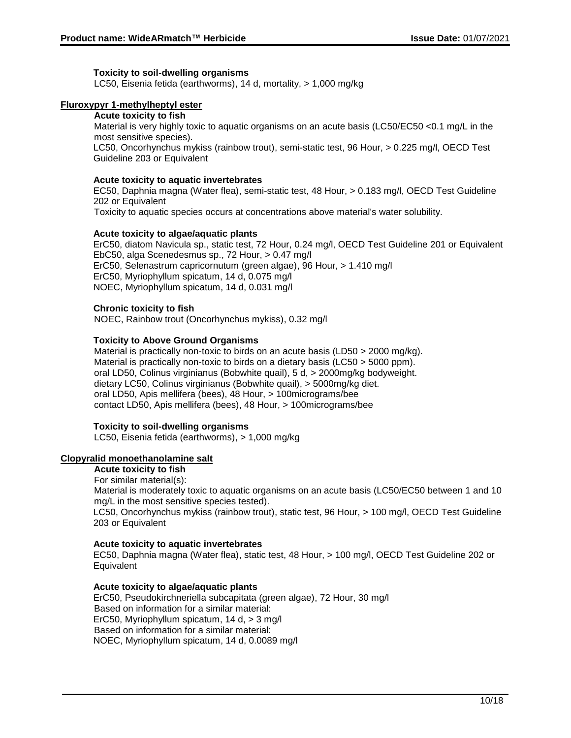### **Toxicity to soil-dwelling organisms**

LC50, Eisenia fetida (earthworms), 14 d, mortality, > 1,000 mg/kg

### **Fluroxypyr 1-methylheptyl ester**

#### **Acute toxicity to fish**

Material is very highly toxic to aquatic organisms on an acute basis (LC50/EC50 <0.1 mg/L in the most sensitive species).

LC50, Oncorhynchus mykiss (rainbow trout), semi-static test, 96 Hour, > 0.225 mg/l, OECD Test Guideline 203 or Equivalent

#### **Acute toxicity to aquatic invertebrates**

EC50, Daphnia magna (Water flea), semi-static test, 48 Hour, > 0.183 mg/l, OECD Test Guideline 202 or Equivalent

Toxicity to aquatic species occurs at concentrations above material's water solubility.

### **Acute toxicity to algae/aquatic plants**

ErC50, diatom Navicula sp., static test, 72 Hour, 0.24 mg/l, OECD Test Guideline 201 or Equivalent EbC50, alga Scenedesmus sp., 72 Hour, > 0.47 mg/l ErC50, Selenastrum capricornutum (green algae), 96 Hour, > 1.410 mg/l ErC50, Myriophyllum spicatum, 14 d, 0.075 mg/l NOEC, Myriophyllum spicatum, 14 d, 0.031 mg/l

### **Chronic toxicity to fish**

NOEC, Rainbow trout (Oncorhynchus mykiss), 0.32 mg/l

### **Toxicity to Above Ground Organisms**

Material is practically non-toxic to birds on an acute basis (LD50 > 2000 mg/kg). Material is practically non-toxic to birds on a dietary basis (LC50 > 5000 ppm). oral LD50, Colinus virginianus (Bobwhite quail), 5 d, > 2000mg/kg bodyweight. dietary LC50, Colinus virginianus (Bobwhite quail), > 5000mg/kg diet. oral LD50, Apis mellifera (bees), 48 Hour, > 100micrograms/bee contact LD50, Apis mellifera (bees), 48 Hour, > 100micrograms/bee

### **Toxicity to soil-dwelling organisms**

LC50, Eisenia fetida (earthworms), > 1,000 mg/kg

### **Clopyralid monoethanolamine salt**

**Acute toxicity to fish**

#### For similar material(s):

Material is moderately toxic to aquatic organisms on an acute basis (LC50/EC50 between 1 and 10 mg/L in the most sensitive species tested).

LC50, Oncorhynchus mykiss (rainbow trout), static test, 96 Hour, > 100 mg/l, OECD Test Guideline 203 or Equivalent

### **Acute toxicity to aquatic invertebrates**

EC50, Daphnia magna (Water flea), static test, 48 Hour, > 100 mg/l, OECD Test Guideline 202 or **Equivalent** 

### **Acute toxicity to algae/aquatic plants**

ErC50, Pseudokirchneriella subcapitata (green algae), 72 Hour, 30 mg/l Based on information for a similar material: ErC50, Myriophyllum spicatum, 14 d, > 3 mg/l Based on information for a similar material: NOEC, Myriophyllum spicatum, 14 d, 0.0089 mg/l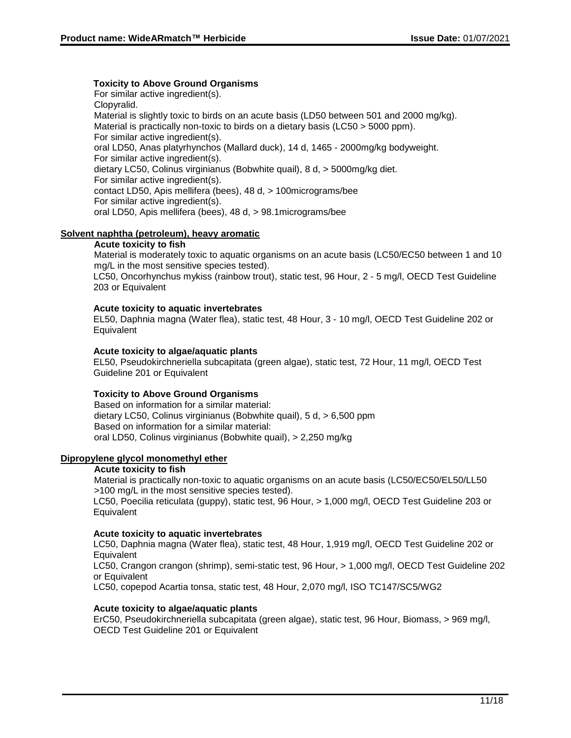### **Toxicity to Above Ground Organisms**

For similar active ingredient(s). Clopyralid. Material is slightly toxic to birds on an acute basis (LD50 between 501 and 2000 mg/kg). Material is practically non-toxic to birds on a dietary basis (LC50 > 5000 ppm). For similar active ingredient(s). oral LD50, Anas platyrhynchos (Mallard duck), 14 d, 1465 - 2000mg/kg bodyweight. For similar active ingredient(s). dietary LC50, Colinus virginianus (Bobwhite quail), 8 d, > 5000mg/kg diet. For similar active ingredient(s). contact LD50, Apis mellifera (bees), 48 d, > 100micrograms/bee For similar active ingredient(s). oral LD50, Apis mellifera (bees), 48 d, > 98.1micrograms/bee

### **Solvent naphtha (petroleum), heavy aromatic**

### **Acute toxicity to fish**

Material is moderately toxic to aquatic organisms on an acute basis (LC50/EC50 between 1 and 10 mg/L in the most sensitive species tested).

LC50, Oncorhynchus mykiss (rainbow trout), static test, 96 Hour, 2 - 5 mg/l, OECD Test Guideline 203 or Equivalent

### **Acute toxicity to aquatic invertebrates**

EL50, Daphnia magna (Water flea), static test, 48 Hour, 3 - 10 mg/l, OECD Test Guideline 202 or **Equivalent** 

### **Acute toxicity to algae/aquatic plants**

EL50, Pseudokirchneriella subcapitata (green algae), static test, 72 Hour, 11 mg/l, OECD Test Guideline 201 or Equivalent

### **Toxicity to Above Ground Organisms**

Based on information for a similar material: dietary LC50, Colinus virginianus (Bobwhite quail), 5 d, > 6,500 ppm Based on information for a similar material: oral LD50, Colinus virginianus (Bobwhite quail), > 2,250 mg/kg

#### **Dipropylene glycol monomethyl ether**

#### **Acute toxicity to fish**

Material is practically non-toxic to aquatic organisms on an acute basis (LC50/EC50/EL50/LL50 >100 mg/L in the most sensitive species tested).

LC50, Poecilia reticulata (guppy), static test, 96 Hour, > 1,000 mg/l, OECD Test Guideline 203 or **Equivalent** 

### **Acute toxicity to aquatic invertebrates**

LC50, Daphnia magna (Water flea), static test, 48 Hour, 1,919 mg/l, OECD Test Guideline 202 or **Equivalent** 

LC50, Crangon crangon (shrimp), semi-static test, 96 Hour, > 1,000 mg/l, OECD Test Guideline 202 or Equivalent

LC50, copepod Acartia tonsa, static test, 48 Hour, 2,070 mg/l, ISO TC147/SC5/WG2

### **Acute toxicity to algae/aquatic plants**

ErC50, Pseudokirchneriella subcapitata (green algae), static test, 96 Hour, Biomass, > 969 mg/l, OECD Test Guideline 201 or Equivalent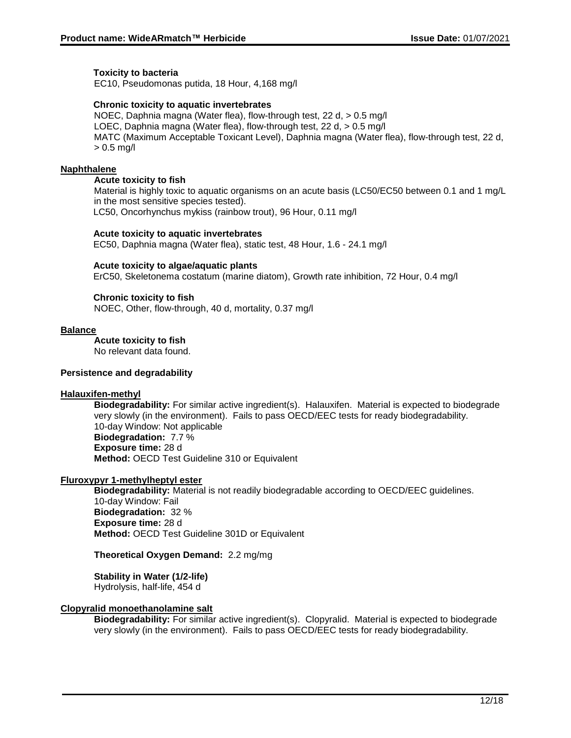### **Toxicity to bacteria**

EC10, Pseudomonas putida, 18 Hour, 4,168 mg/l

### **Chronic toxicity to aquatic invertebrates**

NOEC, Daphnia magna (Water flea), flow-through test, 22 d, > 0.5 mg/l LOEC, Daphnia magna (Water flea), flow-through test, 22 d, > 0.5 mg/l MATC (Maximum Acceptable Toxicant Level), Daphnia magna (Water flea), flow-through test, 22 d, > 0.5 mg/l

### **Naphthalene**

### **Acute toxicity to fish**

Material is highly toxic to aquatic organisms on an acute basis (LC50/EC50 between 0.1 and 1 mg/L in the most sensitive species tested). LC50, Oncorhynchus mykiss (rainbow trout), 96 Hour, 0.11 mg/l

#### **Acute toxicity to aquatic invertebrates**

EC50, Daphnia magna (Water flea), static test, 48 Hour, 1.6 - 24.1 mg/l

### **Acute toxicity to algae/aquatic plants**

ErC50, Skeletonema costatum (marine diatom), Growth rate inhibition, 72 Hour, 0.4 mg/l

### **Chronic toxicity to fish**

NOEC, Other, flow-through, 40 d, mortality, 0.37 mg/l

#### **Balance**

**Acute toxicity to fish**

No relevant data found.

### **Persistence and degradability**

### **Halauxifen-methyl**

**Biodegradability:** For similar active ingredient(s). Halauxifen. Material is expected to biodegrade very slowly (in the environment). Fails to pass OECD/EEC tests for ready biodegradability. 10-day Window: Not applicable **Biodegradation:** 7.7 % **Exposure time:** 28 d **Method:** OECD Test Guideline 310 or Equivalent

### **Fluroxypyr 1-methylheptyl ester**

**Biodegradability:** Material is not readily biodegradable according to OECD/EEC guidelines. 10-day Window: Fail **Biodegradation:** 32 % **Exposure time:** 28 d **Method:** OECD Test Guideline 301D or Equivalent

### **Theoretical Oxygen Demand:** 2.2 mg/mg

**Stability in Water (1/2-life)** Hydrolysis, half-life, 454 d

### **Clopyralid monoethanolamine salt**

**Biodegradability:** For similar active ingredient(s). Clopyralid. Material is expected to biodegrade very slowly (in the environment). Fails to pass OECD/EEC tests for ready biodegradability.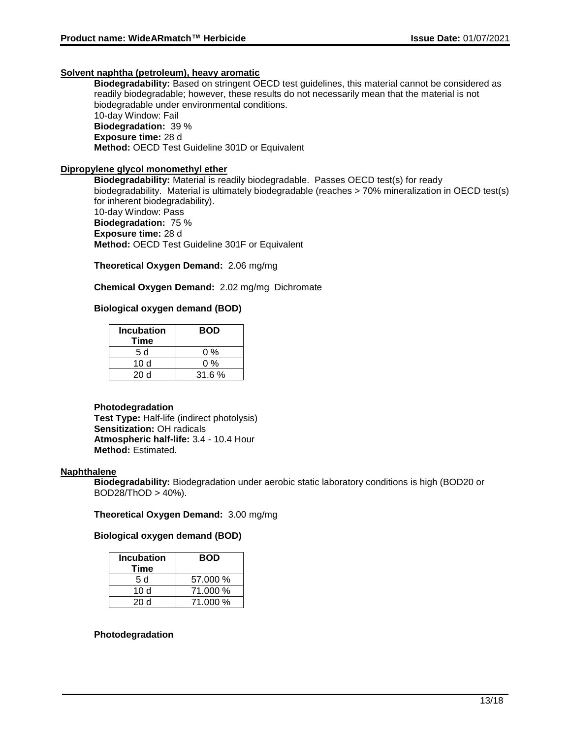### **Solvent naphtha (petroleum), heavy aromatic**

**Biodegradability:** Based on stringent OECD test guidelines, this material cannot be considered as readily biodegradable; however, these results do not necessarily mean that the material is not biodegradable under environmental conditions. 10-day Window: Fail **Biodegradation:** 39 % **Exposure time:** 28 d **Method:** OECD Test Guideline 301D or Equivalent

### **Dipropylene glycol monomethyl ether**

**Biodegradability:** Material is readily biodegradable. Passes OECD test(s) for ready biodegradability. Material is ultimately biodegradable (reaches > 70% mineralization in OECD test(s) for inherent biodegradability). 10-day Window: Pass **Biodegradation:** 75 % **Exposure time:** 28 d **Method:** OECD Test Guideline 301F or Equivalent

**Theoretical Oxygen Demand:** 2.06 mg/mg

**Chemical Oxygen Demand:** 2.02 mg/mg Dichromate

### **Biological oxygen demand (BOD)**

| <b>Incubation</b><br>Time | <b>BOD</b> |
|---------------------------|------------|
| 5 d                       | 0 %        |
| 10d                       | 0 %        |
| 20 d                      | 31.6%      |

#### **Photodegradation**

**Test Type:** Half-life (indirect photolysis) **Sensitization:** OH radicals **Atmospheric half-life:** 3.4 - 10.4 Hour **Method:** Estimated.

#### **Naphthalene**

**Biodegradability:** Biodegradation under aerobic static laboratory conditions is high (BOD20 or  $BOD28/ThOD > 40%$ ).

### **Theoretical Oxygen Demand:** 3.00 mg/mg

### **Biological oxygen demand (BOD)**

| <b>Incubation</b><br>Time | <b>BOD</b> |
|---------------------------|------------|
| 5 d                       | 57.000 %   |
| 10 $d$                    | 71.000 %   |
| 20 Y                      | 71.000 %   |

#### **Photodegradation**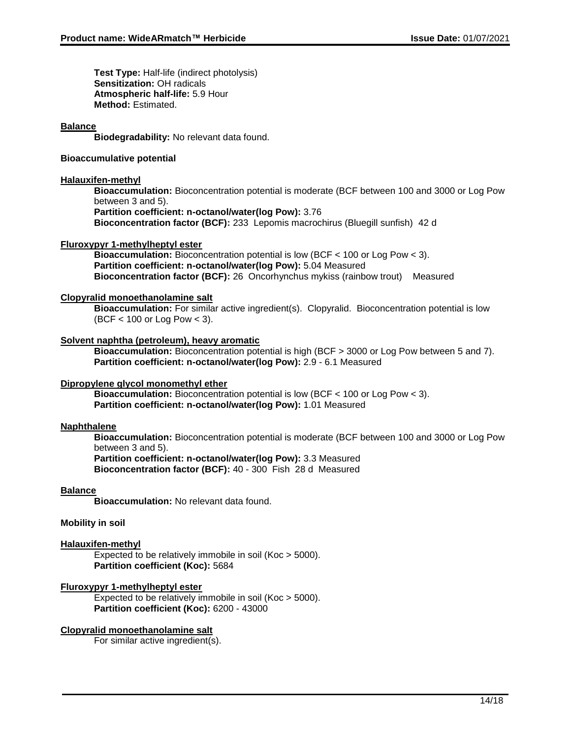**Test Type:** Half-life (indirect photolysis) **Sensitization:** OH radicals **Atmospheric half-life:** 5.9 Hour **Method:** Estimated.

### **Balance**

**Biodegradability:** No relevant data found.

### **Bioaccumulative potential**

### **Halauxifen-methyl**

**Bioaccumulation:** Bioconcentration potential is moderate (BCF between 100 and 3000 or Log Pow between 3 and 5).

**Partition coefficient: n-octanol/water(log Pow):** 3.76

**Bioconcentration factor (BCF):** 233 Lepomis macrochirus (Bluegill sunfish) 42 d

### **Fluroxypyr 1-methylheptyl ester**

**Bioaccumulation:** Bioconcentration potential is low (BCF < 100 or Log Pow < 3). **Partition coefficient: n-octanol/water(log Pow):** 5.04 Measured **Bioconcentration factor (BCF):** 26 Oncorhynchus mykiss (rainbow trout) Measured

### **Clopyralid monoethanolamine salt**

**Bioaccumulation:** For similar active ingredient(s). Clopyralid. Bioconcentration potential is low (BCF < 100 or Log Pow < 3).

### **Solvent naphtha (petroleum), heavy aromatic**

**Bioaccumulation:** Bioconcentration potential is high (BCF > 3000 or Log Pow between 5 and 7). **Partition coefficient: n-octanol/water(log Pow):** 2.9 - 6.1 Measured

### **Dipropylene glycol monomethyl ether**

**Bioaccumulation:** Bioconcentration potential is low (BCF < 100 or Log Pow < 3). **Partition coefficient: n-octanol/water(log Pow):** 1.01 Measured

### **Naphthalene**

**Bioaccumulation:** Bioconcentration potential is moderate (BCF between 100 and 3000 or Log Pow between 3 and 5).

**Partition coefficient: n-octanol/water(log Pow):** 3.3 Measured **Bioconcentration factor (BCF):** 40 - 300 Fish 28 d Measured

### **Balance**

**Bioaccumulation:** No relevant data found.

#### **Mobility in soil**

### **Halauxifen-methyl**

Expected to be relatively immobile in soil (Koc > 5000). **Partition coefficient (Koc):** 5684

### **Fluroxypyr 1-methylheptyl ester**

Expected to be relatively immobile in soil (Koc > 5000). **Partition coefficient (Koc):** 6200 - 43000

### **Clopyralid monoethanolamine salt**

For similar active ingredient(s).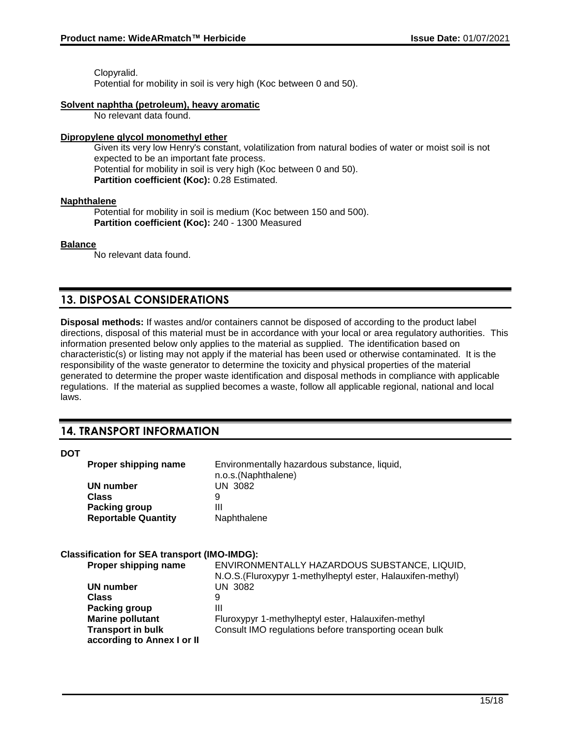Clopyralid. Potential for mobility in soil is very high (Koc between 0 and 50).

### **Solvent naphtha (petroleum), heavy aromatic**

No relevant data found.

### **Dipropylene glycol monomethyl ether**

Given its very low Henry's constant, volatilization from natural bodies of water or moist soil is not expected to be an important fate process. Potential for mobility in soil is very high (Koc between 0 and 50). **Partition coefficient (Koc):** 0.28 Estimated.

### **Naphthalene**

Potential for mobility in soil is medium (Koc between 150 and 500). **Partition coefficient (Koc):** 240 - 1300 Measured

### **Balance**

No relevant data found.

## **13. DISPOSAL CONSIDERATIONS**

**Disposal methods:** If wastes and/or containers cannot be disposed of according to the product label directions, disposal of this material must be in accordance with your local or area regulatory authorities. This information presented below only applies to the material as supplied. The identification based on characteristic(s) or listing may not apply if the material has been used or otherwise contaminated. It is the responsibility of the waste generator to determine the toxicity and physical properties of the material generated to determine the proper waste identification and disposal methods in compliance with applicable regulations. If the material as supplied becomes a waste, follow all applicable regional, national and local laws.

## **14. TRANSPORT INFORMATION**

### **DOT**

| <b>Proper shipping name</b> | Environmentally hazardous substance, liquid,<br>n.o.s.(Naphthalene) |
|-----------------------------|---------------------------------------------------------------------|
| UN number                   | <b>UN 3082</b>                                                      |
| <b>Class</b>                |                                                                     |
| <b>Packing group</b>        | Ш                                                                   |
| <b>Reportable Quantity</b>  | Naphthalene                                                         |

### **Classification for SEA transport (IMO-IMDG):**

| Proper shipping name       | ENVIRONMENTALLY HAZARDOUS SUBSTANCE, LIQUID,                |
|----------------------------|-------------------------------------------------------------|
|                            | N.O.S. (Fluroxypyr 1-methylheptyl ester, Halauxifen-methyl) |
| UN number                  | UN 3082                                                     |
| Class                      | 9                                                           |
| Packing group              | Ш                                                           |
| <b>Marine pollutant</b>    | Fluroxypyr 1-methylheptyl ester, Halauxifen-methyl          |
| <b>Transport in bulk</b>   | Consult IMO regulations before transporting ocean bulk      |
| according to Annex I or II |                                                             |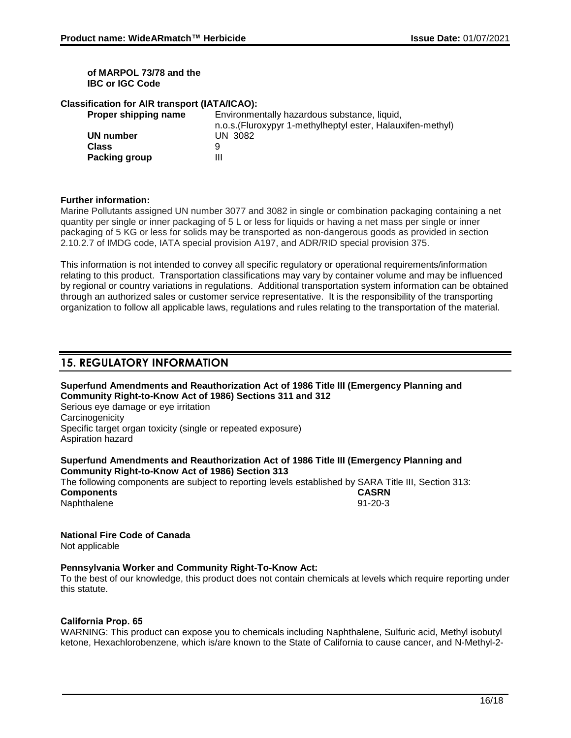### **of MARPOL 73/78 and the IBC or IGC Code**

### **Classification for AIR transport (IATA/ICAO):**

| Proper shipping name | Environmentally hazardous substance, liquid,                |
|----------------------|-------------------------------------------------------------|
|                      | n.o.s. (Fluroxypyr 1-methylheptyl ester, Halauxifen-methyl) |
| UN number            | UN 3082                                                     |
| Class                |                                                             |
| Packing group        | Ш                                                           |

### **Further information:**

Marine Pollutants assigned UN number 3077 and 3082 in single or combination packaging containing a net quantity per single or inner packaging of 5 L or less for liquids or having a net mass per single or inner packaging of 5 KG or less for solids may be transported as non-dangerous goods as provided in section 2.10.2.7 of IMDG code, IATA special provision A197, and ADR/RID special provision 375.

This information is not intended to convey all specific regulatory or operational requirements/information relating to this product. Transportation classifications may vary by container volume and may be influenced by regional or country variations in regulations. Additional transportation system information can be obtained through an authorized sales or customer service representative. It is the responsibility of the transporting organization to follow all applicable laws, regulations and rules relating to the transportation of the material.

## **15. REGULATORY INFORMATION**

**Superfund Amendments and Reauthorization Act of 1986 Title III (Emergency Planning and Community Right-to-Know Act of 1986) Sections 311 and 312**

Serious eye damage or eye irritation **Carcinogenicity** Specific target organ toxicity (single or repeated exposure) Aspiration hazard

### **Superfund Amendments and Reauthorization Act of 1986 Title III (Emergency Planning and Community Right-to-Know Act of 1986) Section 313**

The following components are subject to reporting levels established by SARA Title III, Section 313: **Components CASRN** Naphthalene

# **National Fire Code of Canada**

Not applicable

### **Pennsylvania Worker and Community Right-To-Know Act:**

To the best of our knowledge, this product does not contain chemicals at levels which require reporting under this statute.

### **California Prop. 65**

WARNING: This product can expose you to chemicals including Naphthalene, Sulfuric acid, Methyl isobutyl ketone, Hexachlorobenzene, which is/are known to the State of California to cause cancer, and N-Methyl-2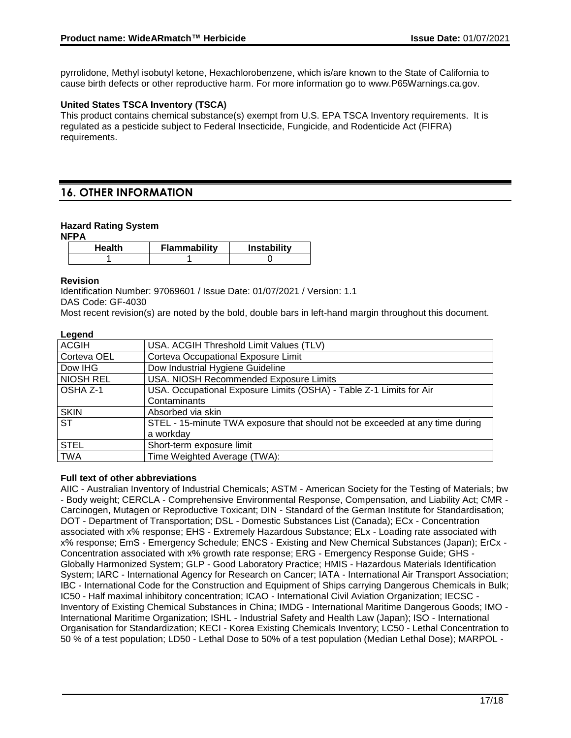pyrrolidone, Methyl isobutyl ketone, Hexachlorobenzene, which is/are known to the State of California to cause birth defects or other reproductive harm. For more information go to www.P65Warnings.ca.gov.

### **United States TSCA Inventory (TSCA)**

This product contains chemical substance(s) exempt from U.S. EPA TSCA Inventory requirements. It is regulated as a pesticide subject to Federal Insecticide, Fungicide, and Rodenticide Act (FIFRA) requirements.

## **16. OTHER INFORMATION**

#### **Hazard Rating System NFPA**

| NFPA |               |                     |                    |  |
|------|---------------|---------------------|--------------------|--|
|      | <b>Health</b> | <b>Flammability</b> | <b>Instability</b> |  |
|      |               |                     |                    |  |

### **Revision**

Identification Number: 97069601 / Issue Date: 01/07/2021 / Version: 1.1 DAS Code: GF-4030

Most recent revision(s) are noted by the bold, double bars in left-hand margin throughout this document.

### **Legend**

| -- 9 - - - -    |                                                                              |  |  |
|-----------------|------------------------------------------------------------------------------|--|--|
| <b>ACGIH</b>    | USA. ACGIH Threshold Limit Values (TLV)                                      |  |  |
| Corteva OEL     | Corteva Occupational Exposure Limit                                          |  |  |
| Dow IHG         | Dow Industrial Hygiene Guideline                                             |  |  |
| NIOSH REL       | USA. NIOSH Recommended Exposure Limits                                       |  |  |
| <b>OSHA Z-1</b> | USA. Occupational Exposure Limits (OSHA) - Table Z-1 Limits for Air          |  |  |
|                 | Contaminants                                                                 |  |  |
| <b>SKIN</b>     | Absorbed via skin                                                            |  |  |
| <b>ST</b>       | STEL - 15-minute TWA exposure that should not be exceeded at any time during |  |  |
|                 | a workday                                                                    |  |  |
| <b>STEL</b>     | Short-term exposure limit                                                    |  |  |
| <b>TWA</b>      | Time Weighted Average (TWA):                                                 |  |  |
|                 |                                                                              |  |  |

### **Full text of other abbreviations**

AIIC - Australian Inventory of Industrial Chemicals; ASTM - American Society for the Testing of Materials; bw - Body weight; CERCLA - Comprehensive Environmental Response, Compensation, and Liability Act; CMR - Carcinogen, Mutagen or Reproductive Toxicant; DIN - Standard of the German Institute for Standardisation; DOT - Department of Transportation; DSL - Domestic Substances List (Canada); ECx - Concentration associated with x% response; EHS - Extremely Hazardous Substance; ELx - Loading rate associated with x% response; EmS - Emergency Schedule; ENCS - Existing and New Chemical Substances (Japan); ErCx - Concentration associated with x% growth rate response; ERG - Emergency Response Guide; GHS - Globally Harmonized System; GLP - Good Laboratory Practice; HMIS - Hazardous Materials Identification System; IARC - International Agency for Research on Cancer; IATA - International Air Transport Association; IBC - International Code for the Construction and Equipment of Ships carrying Dangerous Chemicals in Bulk; IC50 - Half maximal inhibitory concentration; ICAO - International Civil Aviation Organization; IECSC - Inventory of Existing Chemical Substances in China; IMDG - International Maritime Dangerous Goods; IMO - International Maritime Organization; ISHL - Industrial Safety and Health Law (Japan); ISO - International Organisation for Standardization; KECI - Korea Existing Chemicals Inventory; LC50 - Lethal Concentration to 50 % of a test population; LD50 - Lethal Dose to 50% of a test population (Median Lethal Dose); MARPOL -